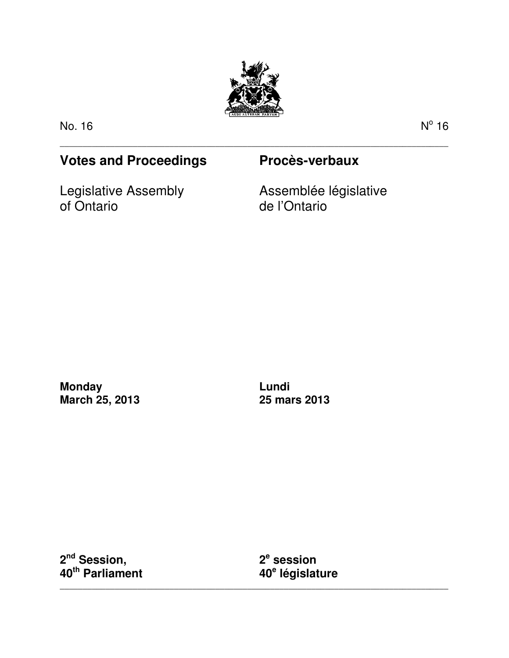

\_\_\_\_\_\_\_\_\_\_\_\_\_\_\_\_\_\_\_\_\_\_\_\_\_\_\_\_\_\_\_\_\_\_\_\_\_\_\_\_\_\_\_\_\_\_\_\_\_\_\_\_\_\_\_\_\_\_\_\_\_\_\_\_\_\_\_\_\_\_\_\_\_\_\_\_\_\_\_\_\_\_\_\_\_

No. 16 No. 16 No. 16 No. 16 No. 16 No. 16 No. 16 No. 16 No. 16 No. 16 No. 16 No. 16 No. 16 No. 16 No. 16 No. 1

 $^{\circ}$  16

# **Votes and Proceedings Procès-verbaux**

Legislative Assembly of Ontario

Assemblée législative de l'Ontario

**Monday March 25, 2013** 

**Lundi 25 mars 2013** 

**2 nd Session, 40th Parliament** 

**2 e session 40<sup>e</sup> législature** 

\_\_\_\_\_\_\_\_\_\_\_\_\_\_\_\_\_\_\_\_\_\_\_\_\_\_\_\_\_\_\_\_\_\_\_\_\_\_\_\_\_\_\_\_\_\_\_\_\_\_\_\_\_\_\_\_\_\_\_\_\_\_\_\_\_\_\_\_\_\_\_\_\_\_\_\_\_\_\_\_\_\_\_\_\_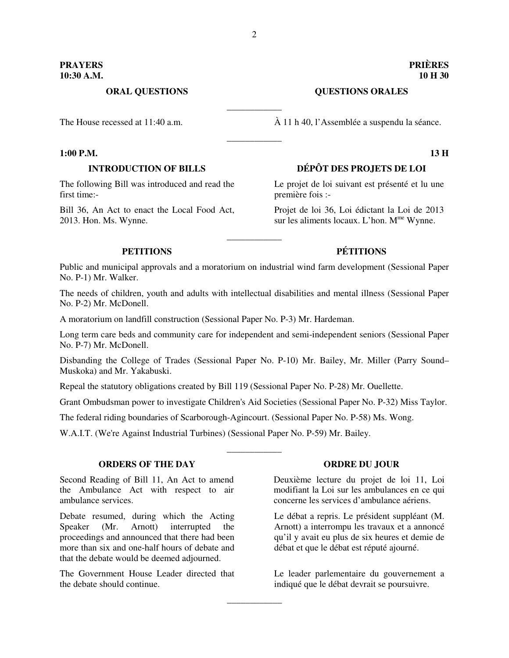\_\_\_\_\_\_\_\_\_\_\_\_

\_\_\_\_\_\_\_\_\_\_\_\_

### **PRAYERS PRIÈRES 10:30 A.M. 10 H 30**

### **ORAL QUESTIONS QUESTIONS ORALES**

The House recessed at  $11:40$  a.m.  $\hat{A}$  11 h 40, l'Assemblée a suspendu la séance.

The following Bill was introduced and read the first time:-

Bill 36, An Act to enact the Local Food Act, 2013. Hon. Ms. Wynne.

### **1:00 P.M. 13 H**

## **INTRODUCTION OF BILLS DÉPÔT DES PROJETS DE LOI**

Le projet de loi suivant est présenté et lu une première fois :-

Projet de loi 36, Loi édictant la Loi de 2013 sur les aliments locaux. L'hon.  $M^{me}$  Wynne.

# **PETITIONS PÉTITIONS**

Public and municipal approvals and a moratorium on industrial wind farm development (Sessional Paper No. P-1) Mr. Walker.

\_\_\_\_\_\_\_\_\_\_\_\_

The needs of children, youth and adults with intellectual disabilities and mental illness (Sessional Paper No. P-2) Mr. McDonell.

A moratorium on landfill construction (Sessional Paper No. P-3) Mr. Hardeman.

Long term care beds and community care for independent and semi-independent seniors (Sessional Paper No. P-7) Mr. McDonell.

Disbanding the College of Trades (Sessional Paper No. P-10) Mr. Bailey, Mr. Miller (Parry Sound– Muskoka) and Mr. Yakabuski.

Repeal the statutory obligations created by Bill 119 (Sessional Paper No. P-28) Mr. Ouellette.

Grant Ombudsman power to investigate Children's Aid Societies (Sessional Paper No. P-32) Miss Taylor.

\_\_\_\_\_\_\_\_\_\_\_\_

\_\_\_\_\_\_\_\_\_\_\_\_

The federal riding boundaries of Scarborough-Agincourt. (Sessional Paper No. P-58) Ms. Wong.

W.A.I.T. (We're Against Industrial Turbines) (Sessional Paper No. P-59) Mr. Bailey.

### **ORDERS OF THE DAY ORDRE DU JOUR**

Second Reading of Bill 11, An Act to amend the Ambulance Act with respect to air ambulance services.

Debate resumed, during which the Acting Speaker (Mr. Arnott) interrupted the proceedings and announced that there had been more than six and one-half hours of debate and that the debate would be deemed adjourned.

The Government House Leader directed that the debate should continue.

Deuxième lecture du projet de loi 11, Loi modifiant la Loi sur les ambulances en ce qui concerne les services d'ambulance aériens.

Le débat a repris. Le président suppléant (M. Arnott) a interrompu les travaux et a annoncé qu'il y avait eu plus de six heures et demie de débat et que le débat est réputé ajourné.

Le leader parlementaire du gouvernement a indiqué que le débat devrait se poursuivre.